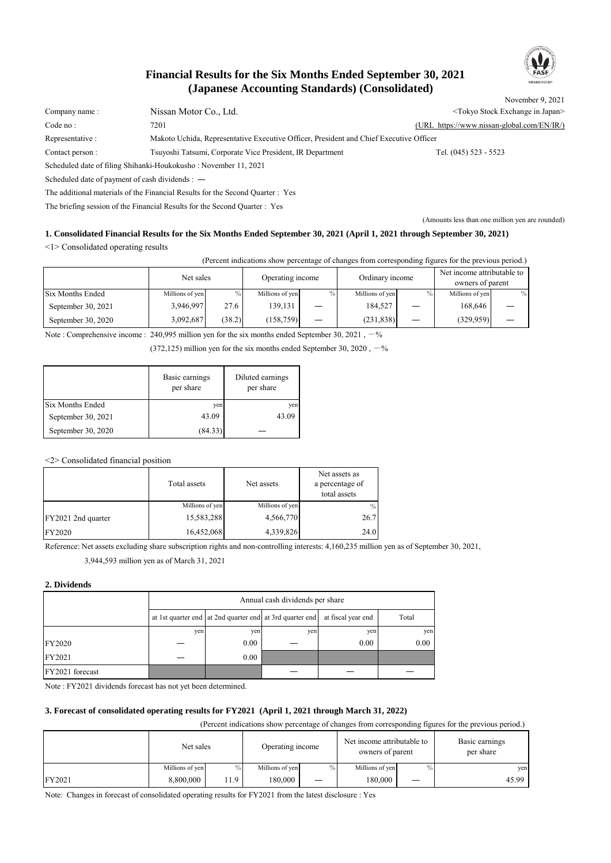

November 9, 2021

# **(Japanese Accounting Standards) (Consolidated) Financial Results for the Six Months Ended September 30, 2021**

Company name : Nissan Motor Co., Ltd. Company name : Nissan Motor Co., Ltd. Company name : Nissan Motor Co., Ltd. Company in Japan> Code no : 7201 7201 7201 Representative : Makoto Uchida, Representative Executive Officer, President and Chief Executive Officer Contact person : Tsuyoshi Tatsumi, Corporate Vice President, IR Department Tel. (045) 523 - 5523 Scheduled date of filing Shihanki-Houkokusho : November 11, 2021 Scheduled date of payment of cash dividends : ― The additional materials of the Financial Results for the Second Quarter : Yes

The briefing session of the Financial Results for the Second Quarter : Yes

(Amounts less than one million yen are rounded)

# **1. Consolidated Financial Results for the Six Months Ended September 30, 2021 (April 1, 2021 through September 30, 2021)**

<1> Consolidated operating results

(Percent indications show percentage of changes from corresponding figures for the previous period.)

|                    | Net sales<br>Operating income |        |                 | Ordinary income |                 | Net income attributable to<br>owners of parent |                 |    |
|--------------------|-------------------------------|--------|-----------------|-----------------|-----------------|------------------------------------------------|-----------------|----|
| Six Months Ended   | Millions of yen               |        | Millions of yen | $\%$            | Millions of yen | $\%$                                           | Millions of yen | %. |
| September 30, 2021 | 3,946,997                     | 27.6   | 139.131         | —               | 184.527         |                                                | 168.646         |    |
| September 30, 2020 | 3.092.687                     | (38.2) | (158, 759)      | —               | (231, 838)      |                                                | (329, 959)      |    |

Note : Comprehensive income : 240,995 million yen for the six months ended September 30, 2021,  $-\%$ 

 $(372,125)$  million yen for the six months ended September 30, 2020,  $-$ %

|                         | Basic earnings<br>per share | Diluted earnings<br>per share |
|-------------------------|-----------------------------|-------------------------------|
| <b>Six Months Ended</b> | yen                         | yen                           |
| September 30, 2021      | 43.09                       | 43.09                         |
| September 30, 2020      | (84.33)                     |                               |

<2> Consolidated financial position

|                    | Total assets    | Net assets      | Net assets as<br>a percentage of<br>total assets |
|--------------------|-----------------|-----------------|--------------------------------------------------|
|                    | Millions of yen | Millions of yen | $\%$                                             |
| FY2021 2nd quarter | 15,583,288      | 4,566,770       | 26.7                                             |
| <b>FY2020</b>      | 16,452,068      | 4,339,826       | 24.0                                             |

Reference: Net assets excluding share subscription rights and non-controlling interests: 4,160,235 million yen as of September 30, 2021,

3,944,593 million yen as of March 31, 2021

#### **2. Dividends**

|                 |     | Annual cash dividends per share |                                                                             |      |       |  |  |  |  |
|-----------------|-----|---------------------------------|-----------------------------------------------------------------------------|------|-------|--|--|--|--|
|                 |     |                                 | at 1st quarter end at 2nd quarter end at 3rd quarter end at fiscal year end |      | Total |  |  |  |  |
|                 | yen | yen                             | yen                                                                         | yen  | yen   |  |  |  |  |
| <b>FY2020</b>   |     | 0.00                            |                                                                             | 0.00 | 0.00  |  |  |  |  |
| FY2021          |     | 0.00                            |                                                                             |      |       |  |  |  |  |
| FY2021 forecast |     |                                 |                                                                             |      |       |  |  |  |  |

Note : FY2021 dividends forecast has not yet been determined.

#### **3. Forecast of consolidated operating results for FY2021 (April 1, 2021 through March 31, 2022)**

(Percent indications show percentage of changes from corresponding figures for the previous period.)

|        | Net sales       |      | Operating income |      | Net income attributable to<br>owners of parent | Basic earnings<br>per share |  |
|--------|-----------------|------|------------------|------|------------------------------------------------|-----------------------------|--|
|        | Millions of yen | $\%$ | Millions of yen  | $\%$ | Millions of yen                                | yen                         |  |
| FY2021 | 8,800,000       | 11.9 | 180,000          | —    | 180.000                                        | 45.99                       |  |

Note: Changes in forecast of consolidated operating results for FY2021 from the latest disclosure : Yes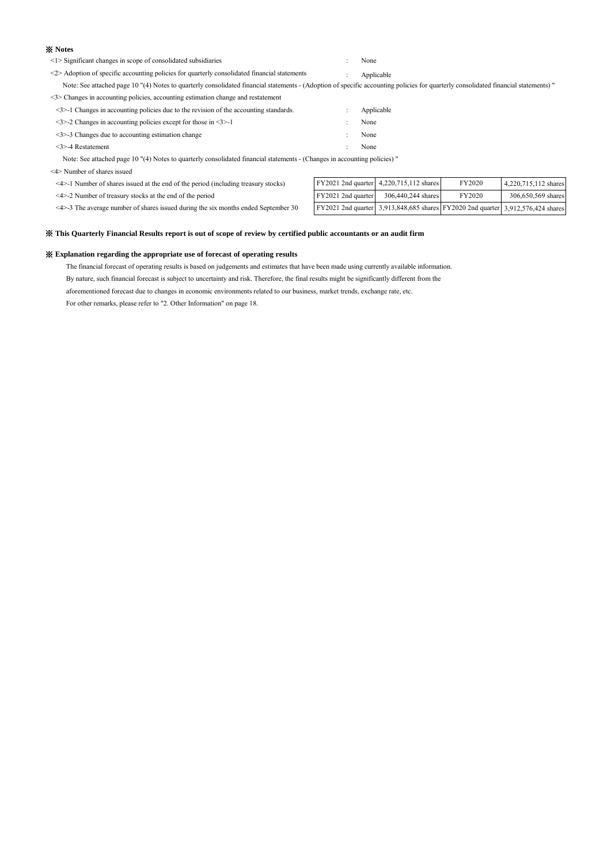#### ※ **Notes**

| $\leq$ 1> Significant changes in scope of consolidated subsidiaries |  | None |
|---------------------------------------------------------------------|--|------|
|---------------------------------------------------------------------|--|------|

<2> Adoption of specific accounting policies for quarterly consolidated financial statements : Applicable

Note: See attached page 10 "(4) Notes to quarterly consolidated financial statements - (Adoption of specific accounting policies for quarterly consolidated financial statements) "

<3> Changes in accounting policies, accounting estimation change and restatement

| $\leq$ 3>-1 Changes in accounting policies due to the revision of the accounting standards. | Applicable |
|---------------------------------------------------------------------------------------------|------------|
| $\leq$ 3>-2 Changes in accounting policies except for those in $\leq$ 3>-1                  | None       |
| $\leq$ 3>-3 Changes due to accounting estimation change                                     | None       |
| $\leq$ 3>-4 Restatement                                                                     | None       |

Note: See attached page 10 "(4) Notes to quarterly consolidated financial statements - (Changes in accounting policies) "

<4> Number of shares issued

|  |  |  |  |  |  |  |  |  |  |  |  |  |  | $\leq$ 4>-1 Number of shares issued at the end of the period (including treasury stocks) |  |  |  |
|--|--|--|--|--|--|--|--|--|--|--|--|--|--|------------------------------------------------------------------------------------------|--|--|--|
|--|--|--|--|--|--|--|--|--|--|--|--|--|--|------------------------------------------------------------------------------------------|--|--|--|

| $\leq$ 4>-1 Number of shares issued at the end of the period (including treasury stocks) |                    | FY2021 2nd quarter 4,220,715,112 shares                                         | FY2020 | 4,220,715,112 shares |
|------------------------------------------------------------------------------------------|--------------------|---------------------------------------------------------------------------------|--------|----------------------|
| $\leq$ 4>-2 Number of treasury stocks at the end of the period                           | FY2021 2nd quarter | 306,440,244 shares                                                              | FY2020 | 306,650,569 shares   |
| $\leq$ 4>-3 The average number of shares issued during the six months ended September 30 |                    | FY2021 2nd quarter 3,913,848,685 shares FY2020 2nd quarter 3,912,576,424 shares |        |                      |

#### ※ **This Quarterly Financial Results report is out of scope of review by certified public accountants or an audit firm**

#### ※ **Explanation regarding the appropriate use of forecast of operating results**

The financial forecast of operating results is based on judgements and estimates that have been made using currently available information. By nature, such financial forecast is subject to uncertainty and risk. Therefore, the final results might be significantly different from the

aforementioned forecast due to changes in economic environments related to our business, market trends, exchange rate, etc.

For other remarks, please refer to "2. Other Information" on page 18.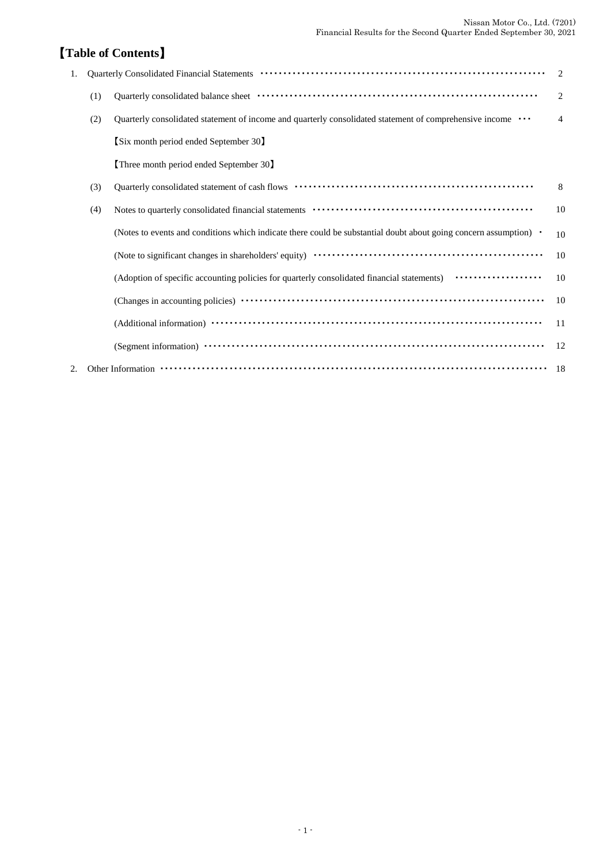# 【**Table of Contents**】

| 1. |     | Quarterly Consolidated Financial Statements (and according to the control of the Consolidated Financial Statements (and according to the control of the Consolidated Financial Statements (according to the control of the Con | $\mathfrak{D}_{\mathfrak{p}}$ |
|----|-----|--------------------------------------------------------------------------------------------------------------------------------------------------------------------------------------------------------------------------------|-------------------------------|
|    | (1) |                                                                                                                                                                                                                                | $\overline{c}$                |
|    | (2) | Quarterly consolidated statement of income and quarterly consolidated statement of comprehensive income                                                                                                                        | 4                             |
|    |     | [Six month period ended September 30]                                                                                                                                                                                          |                               |
|    |     | <b>Three month period ended September 30</b>                                                                                                                                                                                   |                               |
|    | (3) |                                                                                                                                                                                                                                | 8                             |
|    | (4) | Notes to quarterly consolidated financial statements \\\correspondences \\contact\\correspondences \\correspondences \\correspondences \\correspondences \\correspondences \\correspondences \\correspondences \\correspondenc | 10                            |
|    |     | (Notes to events and conditions which indicate there could be substantial doubt about going concern assumption) .                                                                                                              | 10                            |
|    |     |                                                                                                                                                                                                                                | 10                            |
|    |     | (Adoption of specific accounting policies for quarterly consolidated financial statements) <b>················</b>                                                                                                             | 10                            |
|    |     |                                                                                                                                                                                                                                | 10                            |
|    |     |                                                                                                                                                                                                                                | 11                            |
|    |     |                                                                                                                                                                                                                                | 12                            |
| 2. |     |                                                                                                                                                                                                                                | -18                           |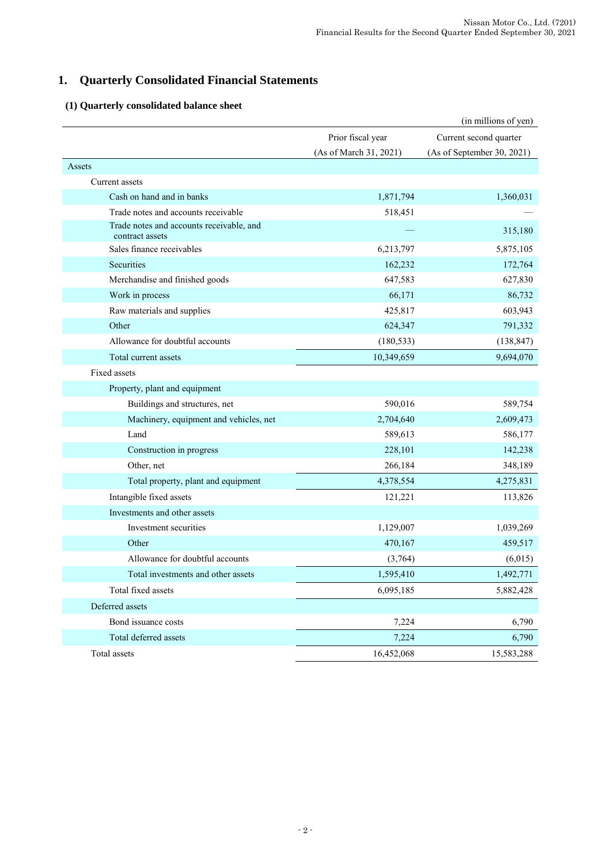# **1. Quarterly Consolidated Financial Statements**

# **(1) Quarterly consolidated balance sheet**

|                                                             |                        | (in millions of yen)       |
|-------------------------------------------------------------|------------------------|----------------------------|
|                                                             | Prior fiscal year      | Current second quarter     |
|                                                             | (As of March 31, 2021) | (As of September 30, 2021) |
| Assets                                                      |                        |                            |
| Current assets                                              |                        |                            |
| Cash on hand and in banks                                   | 1,871,794              | 1,360,031                  |
| Trade notes and accounts receivable                         | 518,451                |                            |
| Trade notes and accounts receivable, and<br>contract assets |                        | 315,180                    |
| Sales finance receivables                                   | 6,213,797              | 5,875,105                  |
| Securities                                                  | 162,232                | 172,764                    |
| Merchandise and finished goods                              | 647,583                | 627,830                    |
| Work in process                                             | 66,171                 | 86,732                     |
| Raw materials and supplies                                  | 425,817                | 603,943                    |
| Other                                                       | 624,347                | 791,332                    |
| Allowance for doubtful accounts                             | (180, 533)             | (138, 847)                 |
| Total current assets                                        | 10,349,659             | 9,694,070                  |
| Fixed assets                                                |                        |                            |
| Property, plant and equipment                               |                        |                            |
| Buildings and structures, net                               | 590,016                | 589,754                    |
| Machinery, equipment and vehicles, net                      | 2,704,640              | 2,609,473                  |
| Land                                                        | 589,613                | 586,177                    |
| Construction in progress                                    | 228,101                | 142,238                    |
| Other, net                                                  | 266,184                | 348,189                    |
| Total property, plant and equipment                         | 4,378,554              | 4,275,831                  |
| Intangible fixed assets                                     | 121,221                | 113,826                    |
| Investments and other assets                                |                        |                            |
| Investment securities                                       | 1,129,007              | 1,039,269                  |
| Other                                                       | 470,167                | 459,517                    |
| Allowance for doubtful accounts                             | (3,764)                | (6,015)                    |
| Total investments and other assets                          | 1,595,410              | 1,492,771                  |
| Total fixed assets                                          | 6,095,185              | 5,882,428                  |
| Deferred assets                                             |                        |                            |
| Bond issuance costs                                         | 7,224                  | 6,790                      |
| Total deferred assets                                       | 7,224                  | 6,790                      |
| Total assets                                                | 16,452,068             | 15,583,288                 |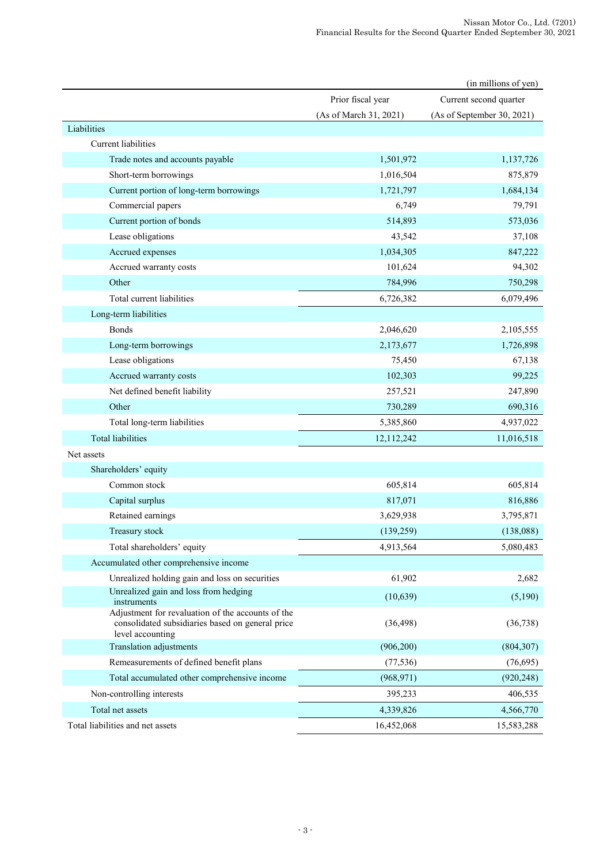|                                                                                                                           |                        | (in millions of yen)       |
|---------------------------------------------------------------------------------------------------------------------------|------------------------|----------------------------|
|                                                                                                                           | Prior fiscal year      | Current second quarter     |
|                                                                                                                           | (As of March 31, 2021) | (As of September 30, 2021) |
| Liabilities                                                                                                               |                        |                            |
| Current liabilities                                                                                                       |                        |                            |
| Trade notes and accounts payable                                                                                          | 1,501,972              | 1,137,726                  |
| Short-term borrowings                                                                                                     | 1,016,504              | 875,879                    |
| Current portion of long-term borrowings                                                                                   | 1,721,797              | 1,684,134                  |
| Commercial papers                                                                                                         | 6,749                  | 79,791                     |
| Current portion of bonds                                                                                                  | 514,893                | 573,036                    |
| Lease obligations                                                                                                         | 43,542                 | 37,108                     |
| Accrued expenses                                                                                                          | 1,034,305              | 847,222                    |
| Accrued warranty costs                                                                                                    | 101,624                | 94,302                     |
| Other                                                                                                                     | 784,996                | 750,298                    |
| Total current liabilities                                                                                                 | 6,726,382              | 6,079,496                  |
| Long-term liabilities                                                                                                     |                        |                            |
| <b>Bonds</b>                                                                                                              | 2,046,620              | 2,105,555                  |
| Long-term borrowings                                                                                                      | 2,173,677              | 1,726,898                  |
| Lease obligations                                                                                                         | 75,450                 | 67,138                     |
| Accrued warranty costs                                                                                                    | 102,303                | 99,225                     |
| Net defined benefit liability                                                                                             | 257,521                | 247,890                    |
| Other                                                                                                                     | 730,289                | 690,316                    |
| Total long-term liabilities                                                                                               | 5,385,860              | 4,937,022                  |
| <b>Total liabilities</b>                                                                                                  | 12,112,242             | 11,016,518                 |
| Net assets                                                                                                                |                        |                            |
| Shareholders' equity                                                                                                      |                        |                            |
| Common stock                                                                                                              | 605,814                | 605,814                    |
| Capital surplus                                                                                                           | 817,071                | 816,886                    |
| Retained earnings                                                                                                         | 3,629,938              | 3,795,871                  |
| Treasury stock                                                                                                            | (139, 259)             | (138,088)                  |
| Total shareholders' equity                                                                                                | 4,913,564              | 5,080,483                  |
| Accumulated other comprehensive income                                                                                    |                        |                            |
| Unrealized holding gain and loss on securities                                                                            | 61,902                 | 2,682                      |
| Unrealized gain and loss from hedging<br>instruments                                                                      | (10, 639)              | (5,190)                    |
| Adjustment for revaluation of the accounts of the<br>consolidated subsidiaries based on general price<br>level accounting | (36, 498)              | (36, 738)                  |
| Translation adjustments                                                                                                   | (906, 200)             | (804, 307)                 |
| Remeasurements of defined benefit plans                                                                                   | (77, 536)              | (76,695)                   |
| Total accumulated other comprehensive income                                                                              | (968, 971)             | (920, 248)                 |
| Non-controlling interests                                                                                                 | 395,233                | 406,535                    |
| Total net assets                                                                                                          | 4,339,826              | 4,566,770                  |
| Total liabilities and net assets                                                                                          | 16,452,068             | 15,583,288                 |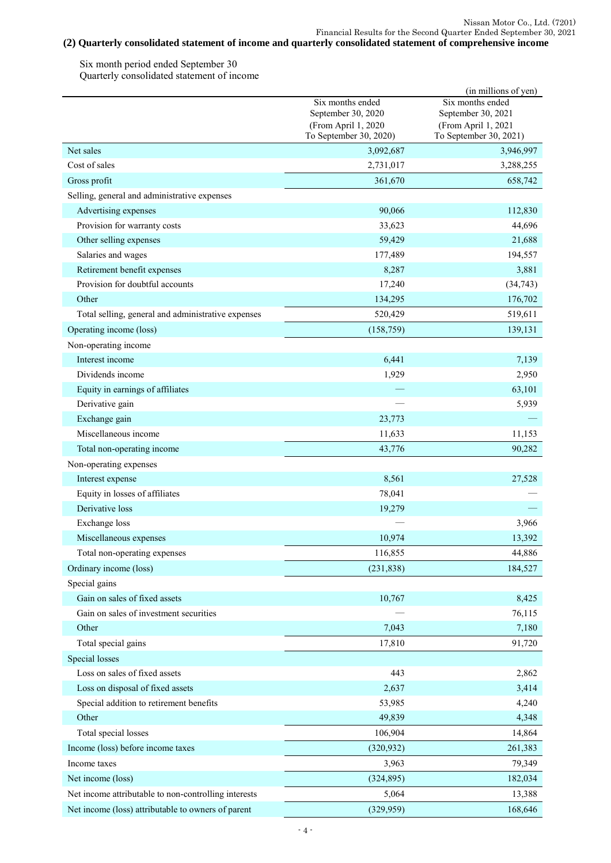## **(2) Quarterly consolidated statement of income and quarterly consolidated statement of comprehensive income**

Six month period ended September 30 Quarterly consolidated statement of income

|                                                      |                                        | (in millions of yen)                   |
|------------------------------------------------------|----------------------------------------|----------------------------------------|
|                                                      | Six months ended<br>September 30, 2020 | Six months ended<br>September 30, 2021 |
|                                                      | (From April 1, 2020                    | (From April 1, 2021                    |
|                                                      | To September 30, 2020)                 | To September 30, 2021)                 |
| Net sales                                            | 3,092,687                              | 3,946,997                              |
| Cost of sales                                        | 2,731,017                              | 3,288,255                              |
| Gross profit                                         | 361,670                                | 658,742                                |
| Selling, general and administrative expenses         |                                        |                                        |
| Advertising expenses                                 | 90,066                                 | 112,830                                |
| Provision for warranty costs                         | 33,623                                 | 44,696                                 |
| Other selling expenses                               | 59,429                                 | 21,688                                 |
| Salaries and wages                                   | 177,489                                | 194,557                                |
| Retirement benefit expenses                          | 8,287                                  | 3,881                                  |
| Provision for doubtful accounts                      | 17,240                                 | (34, 743)                              |
| Other                                                | 134,295                                | 176,702                                |
| Total selling, general and administrative expenses   | 520,429                                | 519,611                                |
| Operating income (loss)                              | (158, 759)                             | 139,131                                |
| Non-operating income                                 |                                        |                                        |
| Interest income                                      | 6,441                                  | 7,139                                  |
| Dividends income                                     | 1,929                                  | 2,950                                  |
| Equity in earnings of affiliates                     |                                        | 63,101                                 |
| Derivative gain                                      |                                        | 5,939                                  |
| Exchange gain                                        | 23,773                                 |                                        |
| Miscellaneous income                                 | 11,633                                 | 11,153                                 |
| Total non-operating income                           | 43,776                                 | 90,282                                 |
| Non-operating expenses                               |                                        |                                        |
| Interest expense                                     | 8,561                                  | 27,528                                 |
| Equity in losses of affiliates                       | 78,041                                 |                                        |
| Derivative loss                                      | 19,279                                 |                                        |
| Exchange loss                                        |                                        | 3,966                                  |
| Miscellaneous expenses                               | 10,974                                 | 13,392                                 |
| Total non-operating expenses                         | 116,855                                | 44,886                                 |
| Ordinary income (loss)                               | (231, 838)                             | 184,527                                |
| Special gains                                        |                                        |                                        |
| Gain on sales of fixed assets                        | 10,767                                 | 8,425                                  |
| Gain on sales of investment securities               |                                        | 76,115                                 |
| Other                                                | 7,043                                  | 7,180                                  |
| Total special gains                                  | 17,810                                 | 91,720                                 |
| Special losses                                       |                                        |                                        |
| Loss on sales of fixed assets                        | 443                                    | 2,862                                  |
| Loss on disposal of fixed assets                     | 2,637                                  | 3,414                                  |
| Special addition to retirement benefits              | 53,985                                 | 4,240                                  |
| Other                                                | 49,839                                 | 4,348                                  |
| Total special losses                                 | 106,904                                | 14,864                                 |
| Income (loss) before income taxes                    | (320, 932)                             | 261,383                                |
| Income taxes                                         | 3,963                                  | 79,349                                 |
| Net income (loss)                                    | (324, 895)                             | 182,034                                |
| Net income attributable to non-controlling interests | 5,064                                  | 13,388                                 |
| Net income (loss) attributable to owners of parent   | (329, 959)                             | 168,646                                |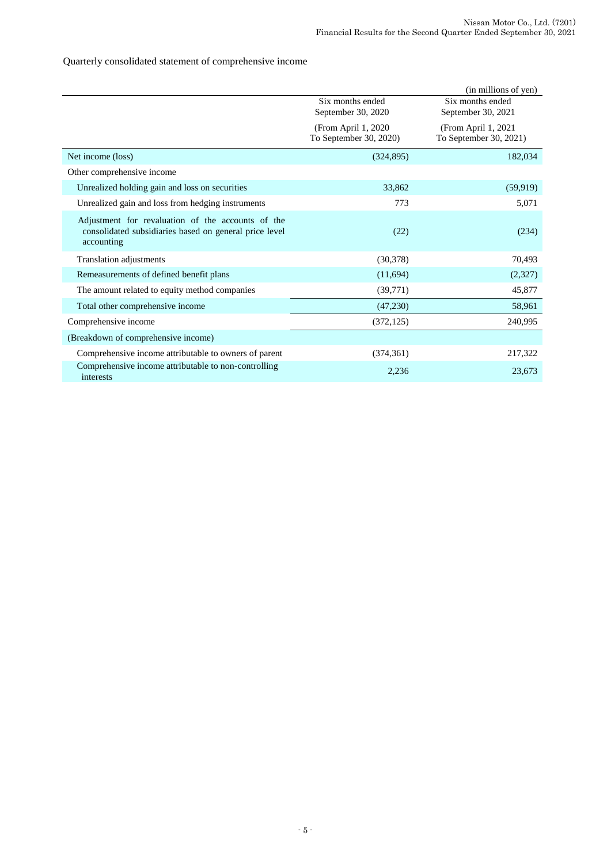### Quarterly consolidated statement of comprehensive income

|                                                                                                                           |                                                | (in millions of yen)                           |
|---------------------------------------------------------------------------------------------------------------------------|------------------------------------------------|------------------------------------------------|
|                                                                                                                           | Six months ended<br>September 30, 2020         | Six months ended<br>September 30, 2021         |
|                                                                                                                           | (From April 1, 2020)<br>To September 30, 2020) | (From April 1, 2021)<br>To September 30, 2021) |
| Net income (loss)                                                                                                         | (324, 895)                                     | 182,034                                        |
| Other comprehensive income                                                                                                |                                                |                                                |
| Unrealized holding gain and loss on securities                                                                            | 33,862                                         | (59, 919)                                      |
| Unrealized gain and loss from hedging instruments                                                                         | 773                                            | 5,071                                          |
| Adjustment for revaluation of the accounts of the<br>consolidated subsidiaries based on general price level<br>accounting | (22)                                           | (234)                                          |
| Translation adjustments                                                                                                   | (30,378)                                       | 70,493                                         |
| Remeasurements of defined benefit plans                                                                                   | (11,694)                                       | (2,327)                                        |
| The amount related to equity method companies                                                                             | (39,771)                                       | 45,877                                         |
| Total other comprehensive income                                                                                          | (47,230)                                       | 58,961                                         |
| Comprehensive income                                                                                                      | (372, 125)                                     | 240,995                                        |
| (Breakdown of comprehensive income)                                                                                       |                                                |                                                |
| Comprehensive income attributable to owners of parent                                                                     | (374, 361)                                     | 217,322                                        |
| Comprehensive income attributable to non-controlling<br>interests                                                         | 2,236                                          | 23,673                                         |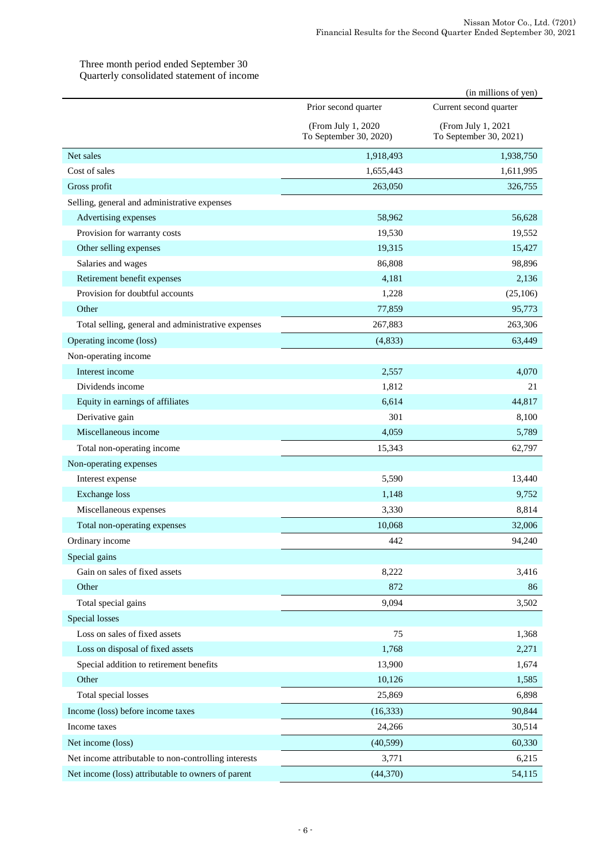#### Three month period ended September 30 Quarterly consolidated statement of income

|                                                      |                                              | (in millions of yen)                         |
|------------------------------------------------------|----------------------------------------------|----------------------------------------------|
|                                                      | Prior second quarter                         | Current second quarter                       |
|                                                      | (From July 1, 2020<br>To September 30, 2020) | (From July 1, 2021<br>To September 30, 2021) |
| Net sales                                            | 1,918,493                                    | 1,938,750                                    |
| Cost of sales                                        | 1,655,443                                    | 1,611,995                                    |
| Gross profit                                         | 263,050                                      | 326,755                                      |
| Selling, general and administrative expenses         |                                              |                                              |
| Advertising expenses                                 | 58,962                                       | 56,628                                       |
| Provision for warranty costs                         | 19,530                                       | 19,552                                       |
| Other selling expenses                               | 19,315                                       | 15,427                                       |
| Salaries and wages                                   | 86,808                                       | 98,896                                       |
| Retirement benefit expenses                          | 4,181                                        | 2,136                                        |
| Provision for doubtful accounts                      | 1,228                                        | (25,106)                                     |
| Other                                                | 77.859                                       | 95,773                                       |
| Total selling, general and administrative expenses   | 267,883                                      | 263,306                                      |
| Operating income (loss)                              | (4,833)                                      | 63,449                                       |
| Non-operating income                                 |                                              |                                              |
| Interest income                                      | 2,557                                        | 4,070                                        |
| Dividends income                                     | 1,812                                        | 21                                           |
| Equity in earnings of affiliates                     | 6,614                                        | 44,817                                       |
| Derivative gain                                      | 301                                          | 8,100                                        |
| Miscellaneous income                                 | 4,059                                        | 5,789                                        |
| Total non-operating income                           | 15,343                                       | 62,797                                       |
| Non-operating expenses                               |                                              |                                              |
| Interest expense                                     | 5,590                                        | 13,440                                       |
| <b>Exchange</b> loss                                 | 1,148                                        | 9,752                                        |
| Miscellaneous expenses                               | 3,330                                        | 8,814                                        |
| Total non-operating expenses                         | 10,068                                       | 32,006                                       |
| Ordinary income                                      | 442                                          | 94,240                                       |
| Special gains                                        |                                              |                                              |
| Gain on sales of fixed assets                        | 8,222                                        | 3,416                                        |
| Other                                                | 872                                          | 86                                           |
| Total special gains                                  | 9,094                                        | 3,502                                        |
| Special losses                                       |                                              |                                              |
| Loss on sales of fixed assets                        | 75                                           | 1,368                                        |
| Loss on disposal of fixed assets                     | 1,768                                        | 2,271                                        |
| Special addition to retirement benefits              | 13,900                                       | 1,674                                        |
| Other                                                | 10,126                                       | 1,585                                        |
| Total special losses                                 | 25,869                                       | 6,898                                        |
| Income (loss) before income taxes                    | (16, 333)                                    | 90,844                                       |
| Income taxes                                         | 24,266                                       | 30,514                                       |
| Net income (loss)                                    | (40, 599)                                    | 60,330                                       |
| Net income attributable to non-controlling interests | 3,771                                        | 6,215                                        |
| Net income (loss) attributable to owners of parent   | (44, 370)                                    | 54,115                                       |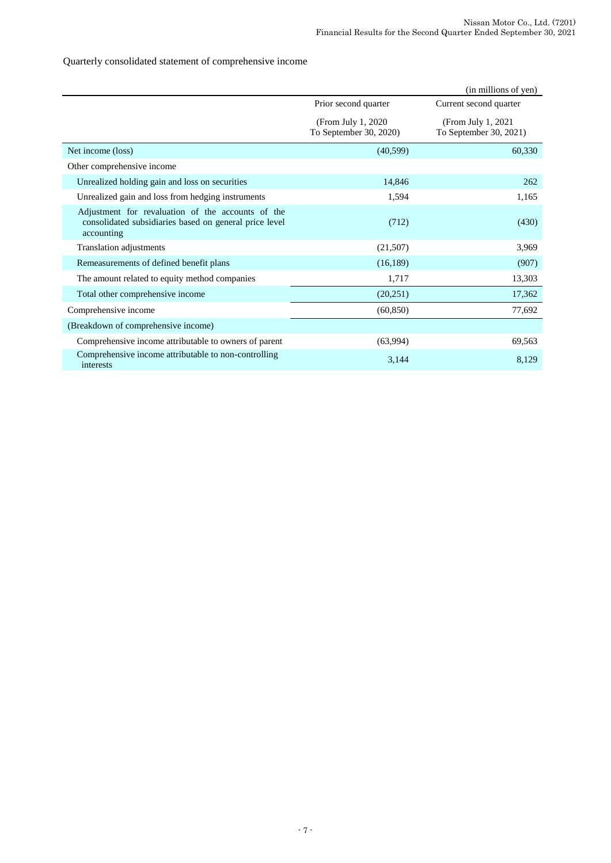Quarterly consolidated statement of comprehensive income

|                                                                                                                           |                                                                                                | (in millions of yen)   |
|---------------------------------------------------------------------------------------------------------------------------|------------------------------------------------------------------------------------------------|------------------------|
|                                                                                                                           | Prior second quarter                                                                           | Current second quarter |
|                                                                                                                           | (From July 1, 2020)<br>(From July 1, 2021)<br>To September 30, 2020)<br>To September 30, 2021) |                        |
| Net income (loss)                                                                                                         | (40,599)                                                                                       | 60,330                 |
| Other comprehensive income                                                                                                |                                                                                                |                        |
| Unrealized holding gain and loss on securities                                                                            | 14,846                                                                                         | 262                    |
| Unrealized gain and loss from hedging instruments                                                                         | 1,594                                                                                          | 1,165                  |
| Adjustment for revaluation of the accounts of the<br>consolidated subsidiaries based on general price level<br>accounting | (712)                                                                                          | (430)                  |
| <b>Translation adjustments</b>                                                                                            | (21,507)                                                                                       | 3,969                  |
| Remeasurements of defined benefit plans                                                                                   | (16, 189)                                                                                      | (907)                  |
| The amount related to equity method companies                                                                             | 1,717                                                                                          | 13,303                 |
| Total other comprehensive income                                                                                          | (20,251)                                                                                       | 17,362                 |
| Comprehensive income                                                                                                      | (60, 850)                                                                                      | 77,692                 |
| (Breakdown of comprehensive income)                                                                                       |                                                                                                |                        |
| Comprehensive income attributable to owners of parent                                                                     | (63,994)                                                                                       | 69,563                 |
| Comprehensive income attributable to non-controlling<br>interests                                                         | 3,144                                                                                          | 8,129                  |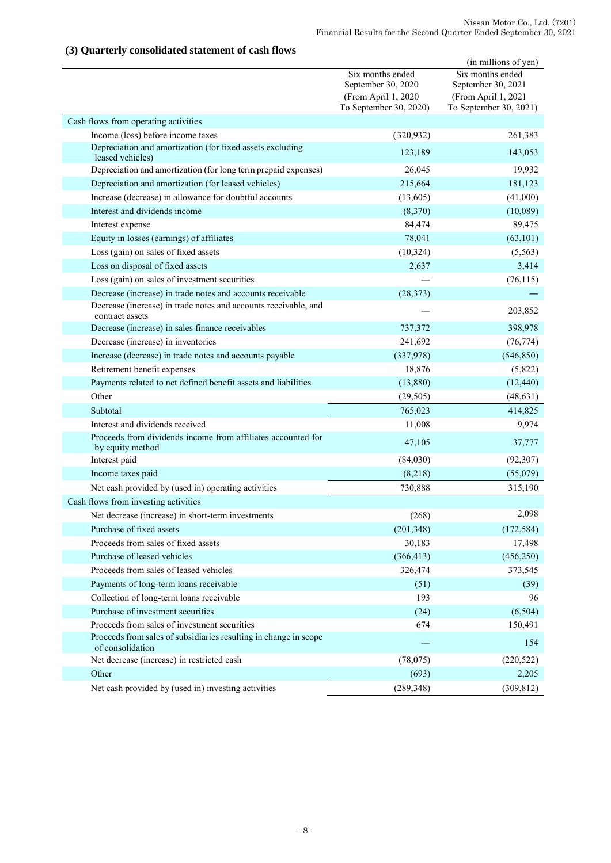|                                                                                    |                        | (in millions of yen)   |
|------------------------------------------------------------------------------------|------------------------|------------------------|
|                                                                                    | Six months ended       | Six months ended       |
|                                                                                    | September 30, 2020     | September 30, 2021     |
|                                                                                    | (From April 1, 2020    | (From April 1, 2021    |
|                                                                                    | To September 30, 2020) | To September 30, 2021) |
| Cash flows from operating activities                                               |                        |                        |
| Income (loss) before income taxes                                                  | (320, 932)             | 261,383                |
| Depreciation and amortization (for fixed assets excluding<br>leased vehicles)      | 123,189                | 143,053                |
| Depreciation and amortization (for long term prepaid expenses)                     | 26,045                 | 19,932                 |
| Depreciation and amortization (for leased vehicles)                                | 215,664                | 181,123                |
| Increase (decrease) in allowance for doubtful accounts                             | (13,605)               | (41,000)               |
| Interest and dividends income                                                      | (8,370)                | (10,089)               |
| Interest expense                                                                   | 84,474                 | 89,475                 |
| Equity in losses (earnings) of affiliates                                          | 78,041                 | (63, 101)              |
| Loss (gain) on sales of fixed assets                                               | (10, 324)              | (5,563)                |
| Loss on disposal of fixed assets                                                   | 2,637                  | 3,414                  |
| Loss (gain) on sales of investment securities                                      |                        | (76, 115)              |
| Decrease (increase) in trade notes and accounts receivable                         | (28, 373)              |                        |
| Decrease (increase) in trade notes and accounts receivable, and<br>contract assets |                        | 203,852                |
| Decrease (increase) in sales finance receivables                                   | 737,372                | 398,978                |
| Decrease (increase) in inventories                                                 | 241,692                | (76, 774)              |
| Increase (decrease) in trade notes and accounts payable                            | (337,978)              | (546, 850)             |
| Retirement benefit expenses                                                        | 18,876                 | (5,822)                |
| Payments related to net defined benefit assets and liabilities                     | (13,880)               | (12, 440)              |
| Other                                                                              | (29, 505)              | (48, 631)              |
| Subtotal                                                                           | 765,023                | 414,825                |
| Interest and dividends received                                                    | 11,008                 | 9,974                  |
| Proceeds from dividends income from affiliates accounted for<br>by equity method   | 47,105                 | 37,777                 |
| Interest paid                                                                      | (84,030)               | (92, 307)              |
| Income taxes paid                                                                  | (8,218)                | (55,079)               |
| Net cash provided by (used in) operating activities                                | 730,888                | 315,190                |
| Cash flows from investing activities                                               |                        |                        |
| Net decrease (increase) in short-term investments                                  | (268)                  | 2,098                  |
| Purchase of fixed assets                                                           | (201, 348)             | (172, 584)             |
| Proceeds from sales of fixed assets                                                | 30,183                 | 17,498                 |
| Purchase of leased vehicles                                                        | (366, 413)             | (456, 250)             |
| Proceeds from sales of leased vehicles                                             | 326,474                | 373,545                |
| Payments of long-term loans receivable                                             | (51)                   | (39)                   |
| Collection of long-term loans receivable                                           | 193                    | 96                     |
| Purchase of investment securities                                                  | (24)                   | (6,504)                |
| Proceeds from sales of investment securities                                       | 674                    | 150,491                |
| Proceeds from sales of subsidiaries resulting in change in scope                   |                        | 154                    |
| of consolidation<br>Net decrease (increase) in restricted cash                     | (78,075)               | (220, 522)             |
| Other                                                                              | (693)                  | 2,205                  |
| Net cash provided by (used in) investing activities                                | (289, 348)             | (309, 812)             |
|                                                                                    |                        |                        |

# **(3) Quarterly consolidated statement of cash flows**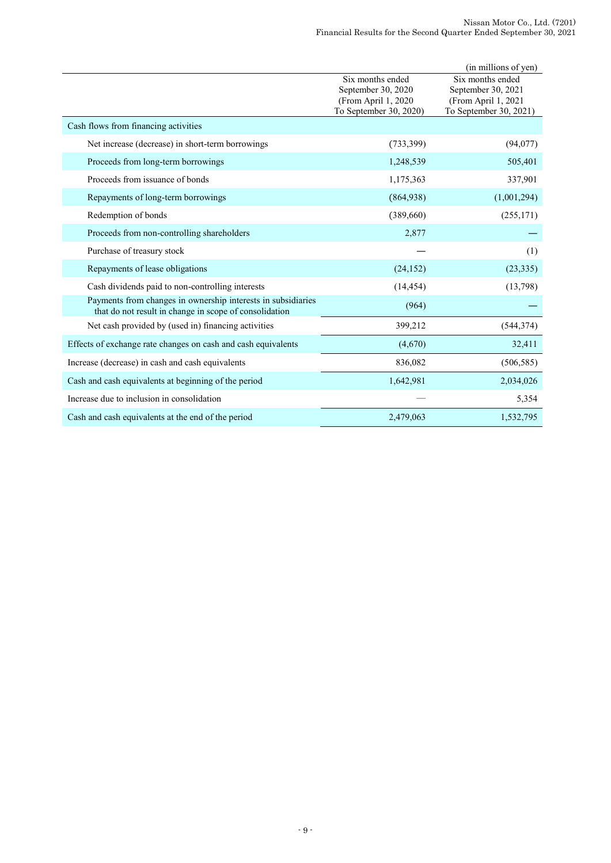|                                                                                                                        |                                                                                          | (in millions of yen)                                                                    |
|------------------------------------------------------------------------------------------------------------------------|------------------------------------------------------------------------------------------|-----------------------------------------------------------------------------------------|
|                                                                                                                        | Six months ended<br>September 30, 2020<br>(From April 1, 2020)<br>To September 30, 2020) | Six months ended<br>September 30, 2021<br>(From April 1, 2021<br>To September 30, 2021) |
| Cash flows from financing activities                                                                                   |                                                                                          |                                                                                         |
| Net increase (decrease) in short-term borrowings                                                                       | (733,399)                                                                                | (94,077)                                                                                |
| Proceeds from long-term borrowings                                                                                     | 1,248,539                                                                                | 505,401                                                                                 |
| Proceeds from issuance of bonds                                                                                        | 1,175,363                                                                                | 337,901                                                                                 |
| Repayments of long-term borrowings                                                                                     | (864,938)                                                                                | (1,001,294)                                                                             |
| Redemption of bonds                                                                                                    | (389,660)                                                                                | (255, 171)                                                                              |
| Proceeds from non-controlling shareholders                                                                             | 2,877                                                                                    |                                                                                         |
| Purchase of treasury stock                                                                                             |                                                                                          | (1)                                                                                     |
| Repayments of lease obligations                                                                                        | (24, 152)                                                                                | (23, 335)                                                                               |
| Cash dividends paid to non-controlling interests                                                                       | (14, 454)                                                                                | (13,798)                                                                                |
| Payments from changes in ownership interests in subsidiaries<br>that do not result in change in scope of consolidation | (964)                                                                                    |                                                                                         |
| Net cash provided by (used in) financing activities                                                                    | 399,212                                                                                  | (544, 374)                                                                              |
| Effects of exchange rate changes on cash and cash equivalents                                                          | (4,670)                                                                                  | 32,411                                                                                  |
| Increase (decrease) in cash and cash equivalents                                                                       | 836,082                                                                                  | (506, 585)                                                                              |
| Cash and cash equivalents at beginning of the period                                                                   | 1,642,981                                                                                | 2,034,026                                                                               |
| Increase due to inclusion in consolidation                                                                             |                                                                                          | 5,354                                                                                   |
| Cash and cash equivalents at the end of the period                                                                     | 2,479,063                                                                                | 1,532,795                                                                               |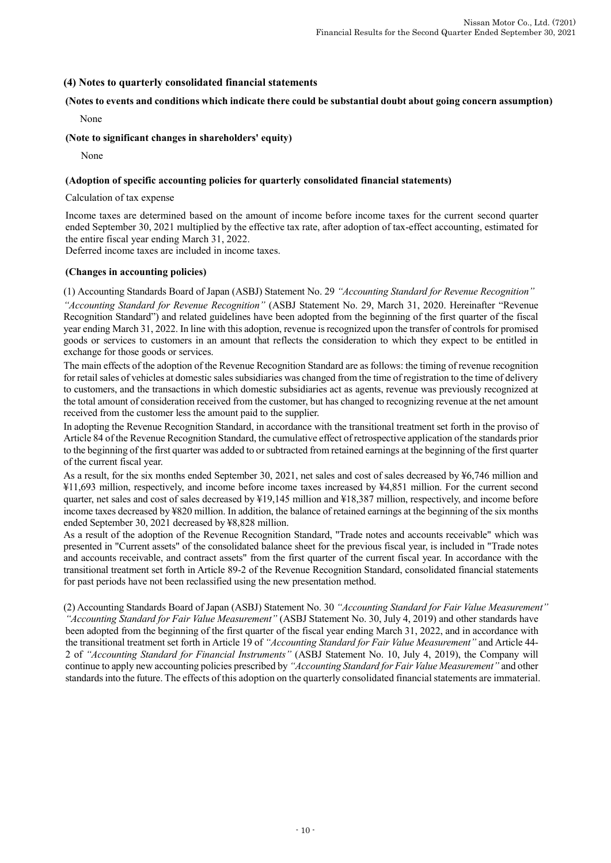### **(4) Notes to quarterly consolidated financial statements**

#### **(Notes to events and conditions which indicate there could be substantial doubt about going concern assumption)**

None

#### **(Note to significant changes in shareholders' equity)**

None

#### **(Adoption of specific accounting policies for quarterly consolidated financial statements)**

Calculation of tax expense

Income taxes are determined based on the amount of income before income taxes for the current second quarter ended September 30, 2021 multiplied by the effective tax rate, after adoption of tax-effect accounting, estimated for the entire fiscal year ending March 31, 2022.

Deferred income taxes are included in income taxes.

#### **(Changes in accounting policies)**

(1) Accounting Standards Board of Japan (ASBJ) Statement No. 29 *"Accounting Standard for Revenue Recognition" "Accounting Standard for Revenue Recognition"* (ASBJ Statement No. 29, March 31, 2020. Hereinafter "Revenue Recognition Standard") and related guidelines have been adopted from the beginning of the first quarter of the fiscal year ending March 31, 2022. In line with this adoption, revenue is recognized upon the transfer of controls for promised goods or services to customers in an amount that reflects the consideration to which they expect to be entitled in exchange for those goods or services.

The main effects of the adoption of the Revenue Recognition Standard are as follows: the timing of revenue recognition for retail sales of vehicles at domestic sales subsidiaries was changed from the time of registration to the time of delivery to customers, and the transactions in which domestic subsidiaries act as agents, revenue was previously recognized at the total amount of consideration received from the customer, but has changed to recognizing revenue at the net amount received from the customer less the amount paid to the supplier.

In adopting the Revenue Recognition Standard, in accordance with the transitional treatment set forth in the proviso of Article 84 of the Revenue Recognition Standard, the cumulative effect of retrospective application of the standards prior to the beginning of the first quarter was added to or subtracted from retained earnings at the beginning of the first quarter of the current fiscal year.

As a result, for the six months ended September 30, 2021, net sales and cost of sales decreased by ¥6,746 million and ¥11,693 million, respectively, and income before income taxes increased by ¥4,851 million. For the current second quarter, net sales and cost of sales decreased by ¥19,145 million and ¥18,387 million, respectively, and income before income taxes decreased by ¥820 million. In addition, the balance of retained earnings at the beginning of the six months ended September 30, 2021 decreased by ¥8,828 million.

As a result of the adoption of the Revenue Recognition Standard, "Trade notes and accounts receivable" which was presented in "Current assets" of the consolidated balance sheet for the previous fiscal year, is included in "Trade notes and accounts receivable, and contract assets" from the first quarter of the current fiscal year. In accordance with the transitional treatment set forth in Article 89-2 of the Revenue Recognition Standard, consolidated financial statements for past periods have not been reclassified using the new presentation method.

(2) Accounting Standards Board of Japan (ASBJ) Statement No. 30 *"Accounting Standard for Fair Value Measurement" "Accounting Standard for Fair Value Measurement"* (ASBJ Statement No. 30, July 4, 2019) and other standards have been adopted from the beginning of the first quarter of the fiscal year ending March 31, 2022, and in accordance with the transitional treatment set forth in Article 19 of *"Accounting Standard for Fair Value Measurement"* and Article 44- 2 of *"Accounting Standard for Financial Instruments"* (ASBJ Statement No. 10, July 4, 2019), the Company will continue to apply new accounting policies prescribed by *"Accounting Standard for Fair Value Measurement"* and other standards into the future. The effects of this adoption on the quarterly consolidated financial statements are immaterial.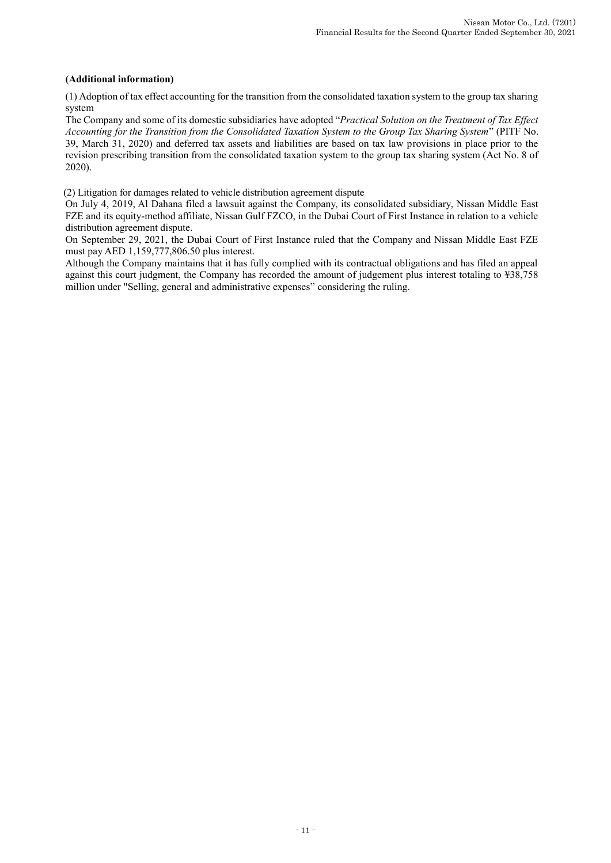#### **(Additional information)**

(1) Adoption of tax effect accounting for the transition from the consolidated taxation system to the group tax sharing system

The Company and some of its domestic subsidiaries have adopted "*Practical Solution on the Treatment of Tax Effect Accounting for the Transition from the Consolidated Taxation System to the Group Tax Sharing System*" (PITF No. 39, March 31, 2020) and deferred tax assets and liabilities are based on tax law provisions in place prior to the revision prescribing transition from the consolidated taxation system to the group tax sharing system (Act No. 8 of 2020).

(2) Litigation for damages related to vehicle distribution agreement dispute

On July 4, 2019, Al Dahana filed a lawsuit against the Company, its consolidated subsidiary, Nissan Middle East FZE and its equity-method affiliate, Nissan Gulf FZCO, in the Dubai Court of First Instance in relation to a vehicle distribution agreement dispute.

On September 29, 2021, the Dubai Court of First Instance ruled that the Company and Nissan Middle East FZE must pay AED 1,159,777,806.50 plus interest.

Although the Company maintains that it has fully complied with its contractual obligations and has filed an appeal against this court judgment, the Company has recorded the amount of judgement plus interest totaling to ¥38,758 million under "Selling, general and administrative expenses" considering the ruling.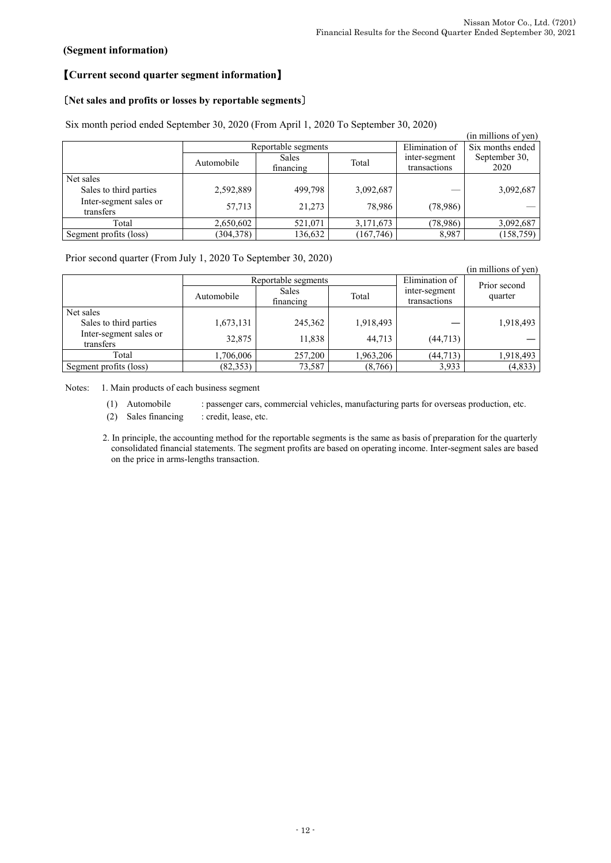# **(Segment information)**

# 【**Current second quarter segment information**】

# 〔**Net sales and profits or losses by reportable segments**〕

|                                     |            |                           |            |                               | (in millions of yen)  |
|-------------------------------------|------------|---------------------------|------------|-------------------------------|-----------------------|
|                                     |            | Reportable segments       |            | Elimination of                | Six months ended      |
|                                     | Automobile | <b>Sales</b><br>financing | Total      | inter-segment<br>transactions | September 30,<br>2020 |
| Net sales                           |            |                           |            |                               |                       |
| Sales to third parties              | 2,592,889  | 499,798                   | 3,092,687  |                               | 3,092,687             |
| Inter-segment sales or<br>transfers | 57,713     | 21,273                    | 78.986     | (78,986)                      |                       |
| Total                               | 2,650,602  | 521,071                   | 3,171,673  | (78,986)                      | 3,092,687             |
| Segment profits (loss)              | (304, 378) | 136,632                   | (167, 746) | 8,987                         | (158, 759)            |

Six month period ended September 30, 2020 (From April 1, 2020 To September 30, 2020)

Prior second quarter (From July 1, 2020 To September 30, 2020)

| . .                                 |            |                           |           |                               | (in millions of yen) |
|-------------------------------------|------------|---------------------------|-----------|-------------------------------|----------------------|
|                                     |            | Reportable segments       |           | Elimination of                | Prior second         |
|                                     | Automobile | <b>Sales</b><br>financing | Total     | inter-segment<br>transactions | quarter              |
| Net sales                           |            |                           |           |                               |                      |
| Sales to third parties              | 1,673,131  | 245,362                   | 1,918,493 |                               | 1,918,493            |
| Inter-segment sales or<br>transfers | 32,875     | 11,838                    | 44,713    | (44, 713)                     |                      |
| Total                               | 1,706,006  | 257,200                   | 1,963,206 | (44, 713)                     | 1,918,493            |
| Segment profits (loss)              | (82, 353)  | 73,587                    | (8,766)   | 3,933                         | (4, 833)             |

Notes: 1. Main products of each business segment

- (1) Automobile : passenger cars, commercial vehicles, manufacturing parts for overseas production, etc.
- (2) Sales financing : credit, lease, etc.

2. In principle, the accounting method for the reportable segments is the same as basis of preparation for the quarterly consolidated financial statements. The segment profits are based on operating income. Inter-segment sales are based on the price in arms-lengths transaction.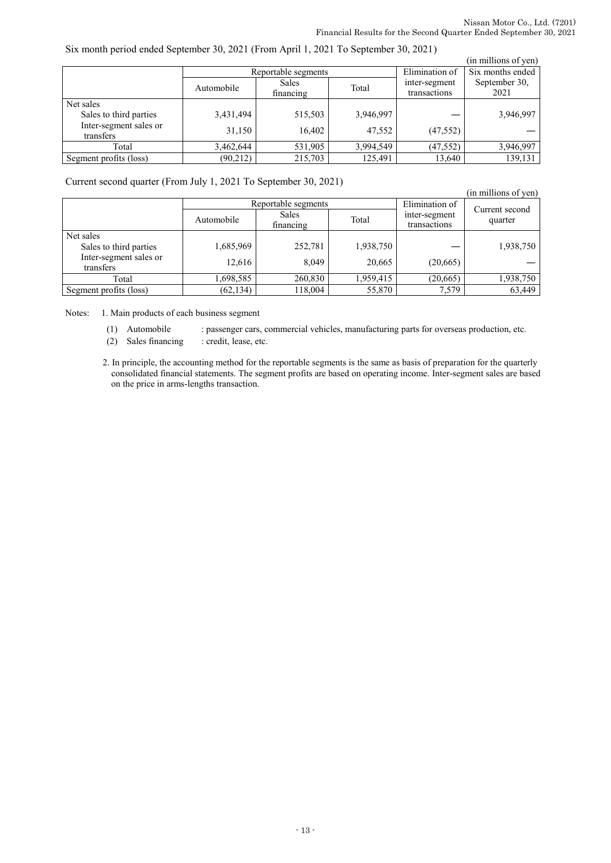#### Six month period ended September 30, 2021 (From April 1, 2021 To September 30, 2021)

|                                     |            |                           |           |                               | (in millions of yen)  |
|-------------------------------------|------------|---------------------------|-----------|-------------------------------|-----------------------|
|                                     |            | Reportable segments       |           | Elimination of                | Six months ended      |
|                                     | Automobile | <b>Sales</b><br>financing | Total     | inter-segment<br>transactions | September 30,<br>2021 |
| Net sales                           |            |                           |           |                               |                       |
| Sales to third parties              | 3,431,494  | 515,503                   | 3,946,997 |                               | 3,946,997             |
| Inter-segment sales or<br>transfers | 31,150     | 16,402                    | 47,552    | (47, 552)                     |                       |
| Total                               | 3,462,644  | 531,905                   | 3,994,549 | (47, 552)                     | 3,946,997             |
| Segment profits (loss)              | (90,212)   | 215,703                   | 125.491   | 13,640                        | 139,131               |

Current second quarter (From July 1, 2021 To September 30, 2021)

|                                     |            |                           |           |                               | (in millions of yen) |  |
|-------------------------------------|------------|---------------------------|-----------|-------------------------------|----------------------|--|
|                                     |            | Reportable segments       |           | Elimination of                | Current second       |  |
|                                     | Automobile | <b>Sales</b><br>financing | Total     | inter-segment<br>transactions | quarter              |  |
| Net sales                           |            |                           |           |                               |                      |  |
| Sales to third parties              | 1,685,969  | 252,781                   | 1,938,750 |                               | 1,938,750            |  |
| Inter-segment sales or<br>transfers | 12,616     | 8.049                     | 20,665    | (20,665)                      |                      |  |
| Total                               | 1,698,585  | 260,830                   | 1,959,415 | (20, 665)                     | 1,938,750            |  |
| Segment profits (loss)              | (62, 134)  | 118,004                   | 55,870    | 7,579                         | 63,449               |  |

Notes: 1. Main products of each business segment

(1) Automobile : passenger cars, commercial vehicles, manufacturing parts for overseas production, etc.

(2) Sales financing : credit, lease, etc.

2. In principle, the accounting method for the reportable segments is the same as basis of preparation for the quarterly consolidated financial statements. The segment profits are based on operating income. Inter-segment sales are based on the price in arms-lengths transaction.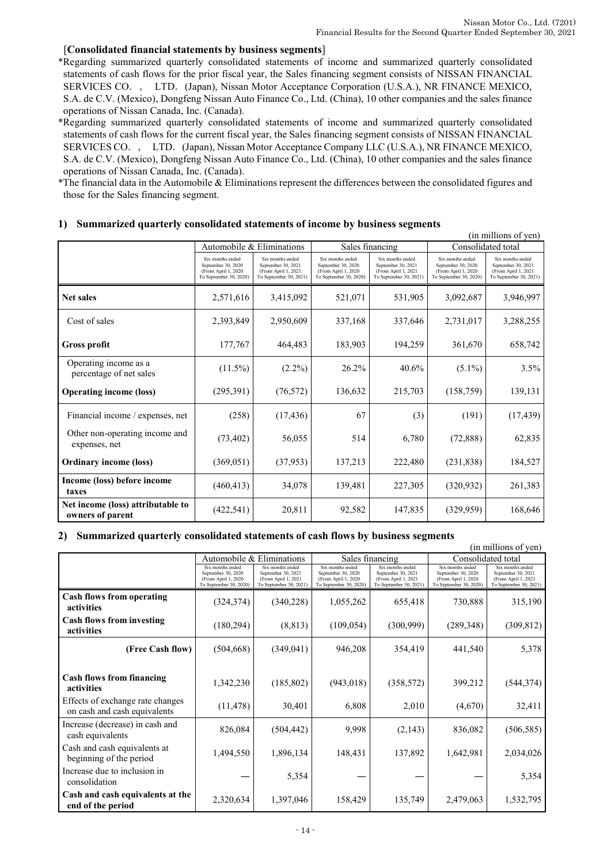#### [**Consolidated financial statements by business segments**]

\*Regarding summarized quarterly consolidated statements of income and summarized quarterly consolidated statements of cash flows for the prior fiscal year, the Sales financing segment consists of NISSAN FINANCIAL SERVICES CO., LTD. (Japan), Nissan Motor Acceptance Corporation (U.S.A.), NR FINANCE MEXICO, S.A. de C.V. (Mexico), Dongfeng Nissan Auto Finance Co., Ltd. (China), 10 other companies and the sales finance operations of Nissan Canada, Inc. (Canada).

\*Regarding summarized quarterly consolidated statements of income and summarized quarterly consolidated statements of cash flows for the current fiscal year, the Sales financing segment consists of NISSAN FINANCIAL SERVICES CO., LTD. (Japan), Nissan Motor Acceptance Company LLC (U.S.A.), NR FINANCE MEXICO, S.A. de C.V. (Mexico), Dongfeng Nissan Auto Finance Co., Ltd. (China), 10 other companies and the sales finance operations of Nissan Canada, Inc. (Canada).

\*The financial data in the Automobile & Eliminations represent the differences between the consolidated figures and those for the Sales financing segment.

| (in millions of yen)                                  |                                                                                          |                                                                                         |                                                                                          |                                                                                         |                                                                                          |                                                                                         |
|-------------------------------------------------------|------------------------------------------------------------------------------------------|-----------------------------------------------------------------------------------------|------------------------------------------------------------------------------------------|-----------------------------------------------------------------------------------------|------------------------------------------------------------------------------------------|-----------------------------------------------------------------------------------------|
|                                                       |                                                                                          | Automobile & Eliminations                                                               |                                                                                          | Sales financing                                                                         | Consolidated total                                                                       |                                                                                         |
|                                                       | Six months ended<br>September 30, 2020<br>(From April 1, 2020)<br>To September 30, 2020) | Six months ended<br>September 30, 2021<br>(From April 1, 2021<br>To September 30, 2021) | Six months ended<br>September 30, 2020<br>(From April 1, 2020)<br>To September 30, 2020) | Six months ended<br>September 30, 2021<br>(From April 1, 2021<br>To September 30, 2021) | Six months ended<br>September 30, 2020<br>(From April 1, 2020)<br>To September 30, 2020) | Six months ended<br>September 30, 2021<br>(From April 1, 2021<br>To September 30, 2021) |
| <b>Net sales</b>                                      | 2,571,616                                                                                | 3,415,092                                                                               | 521.071                                                                                  | 531,905                                                                                 | 3,092,687                                                                                | 3,946,997                                                                               |
| Cost of sales                                         | 2,393,849                                                                                | 2,950,609                                                                               | 337,168                                                                                  | 337,646                                                                                 | 2,731,017                                                                                | 3,288,255                                                                               |
| <b>Gross profit</b>                                   | 177,767                                                                                  | 464,483                                                                                 | 183,903                                                                                  | 194,259                                                                                 | 361,670                                                                                  | 658,742                                                                                 |
| Operating income as a<br>percentage of net sales      | $(11.5\%)$                                                                               | $(2.2\%)$                                                                               | 26.2%                                                                                    | 40.6%                                                                                   | $(5.1\%)$                                                                                | 3.5%                                                                                    |
| <b>Operating income (loss)</b>                        | (295,391)                                                                                | (76, 572)                                                                               | 136,632                                                                                  | 215,703                                                                                 | (158, 759)                                                                               | 139,131                                                                                 |
| Financial income / expenses, net                      | (258)                                                                                    | (17, 436)                                                                               | 67                                                                                       | (3)                                                                                     | (191)                                                                                    | (17, 439)                                                                               |
| Other non-operating income and<br>expenses, net       | (73, 402)                                                                                | 56,055                                                                                  | 514                                                                                      | 6,780                                                                                   | (72, 888)                                                                                | 62,835                                                                                  |
| <b>Ordinary income (loss)</b>                         | (369, 051)                                                                               | (37,953)                                                                                | 137,213                                                                                  | 222,480                                                                                 | (231, 838)                                                                               | 184,527                                                                                 |
| Income (loss) before income<br>taxes                  | (460, 413)                                                                               | 34,078                                                                                  | 139,481                                                                                  | 227,305                                                                                 | (320, 932)                                                                               | 261,383                                                                                 |
| Net income (loss) attributable to<br>owners of parent | (422, 541)                                                                               | 20,811                                                                                  | 92,582                                                                                   | 147,835                                                                                 | (329, 959)                                                                               | 168,646                                                                                 |

#### **1) Summarized quarterly consolidated statements of income by business segments**

#### **2) Summarized quarterly consolidated statements of cash flows by business segments**

| (in millions of yen)                                             |                                                                                         |                                                                                        |                                                                                         |                                                                                        |                                                                                          |                                                                                         |  |
|------------------------------------------------------------------|-----------------------------------------------------------------------------------------|----------------------------------------------------------------------------------------|-----------------------------------------------------------------------------------------|----------------------------------------------------------------------------------------|------------------------------------------------------------------------------------------|-----------------------------------------------------------------------------------------|--|
|                                                                  |                                                                                         | Automobile & Eliminations                                                              |                                                                                         | Sales financing                                                                        | Consolidated total                                                                       |                                                                                         |  |
|                                                                  | Six months ended<br>September 30, 2020<br>(From April 1, 2020<br>To September 30, 2020) | Six months ended<br>September 30, 2021<br>(From April 1, 2021<br>To September 30, 2021 | Six months ended<br>September 30, 2020<br>(From April 1, 2020<br>To September 30, 2020) | Six months ended<br>September 30, 2021<br>(From April 1, 2021<br>To September 30, 2021 | Six months ended<br>September 30, 2020<br>(From April 1, 2020)<br>To September 30, 2020) | Six months ended<br>September 30, 2021<br>(From April 1, 2021<br>To September 30, 2021) |  |
| Cash flows from operating<br>activities                          | (324, 374)                                                                              | (340, 228)                                                                             | 1,055,262                                                                               | 655,418                                                                                | 730,888                                                                                  | 315,190                                                                                 |  |
| <b>Cash flows from investing</b><br>activities                   | (180, 294)                                                                              | (8, 813)                                                                               | (109, 054)                                                                              | (300, 999)                                                                             | (289, 348)                                                                               | (309, 812)                                                                              |  |
| (Free Cash flow)                                                 | (504, 668)                                                                              | (349, 041)                                                                             | 946,208                                                                                 | 354,419                                                                                | 441,540                                                                                  | 5,378                                                                                   |  |
| <b>Cash flows from financing</b><br>activities                   | 1,342,230                                                                               | (185, 802)                                                                             | (943, 018)                                                                              | (358, 572)                                                                             | 399,212                                                                                  | (544, 374)                                                                              |  |
| Effects of exchange rate changes<br>on cash and cash equivalents | (11, 478)                                                                               | 30,401                                                                                 | 6,808                                                                                   | 2,010                                                                                  | (4,670)                                                                                  | 32,411                                                                                  |  |
| Increase (decrease) in cash and<br>cash equivalents              | 826,084                                                                                 | (504, 442)                                                                             | 9,998                                                                                   | (2,143)                                                                                | 836,082                                                                                  | (506, 585)                                                                              |  |
| Cash and cash equivalents at<br>beginning of the period          | 1,494,550                                                                               | 1,896,134                                                                              | 148,431                                                                                 | 137,892                                                                                | 1,642,981                                                                                | 2,034,026                                                                               |  |
| Increase due to inclusion in<br>consolidation                    |                                                                                         | 5,354                                                                                  |                                                                                         |                                                                                        |                                                                                          | 5,354                                                                                   |  |
| Cash and cash equivalents at the<br>end of the period            | 2,320,634                                                                               | 1,397,046                                                                              | 158,429                                                                                 | 135,749                                                                                | 2,479,063                                                                                | 1,532,795                                                                               |  |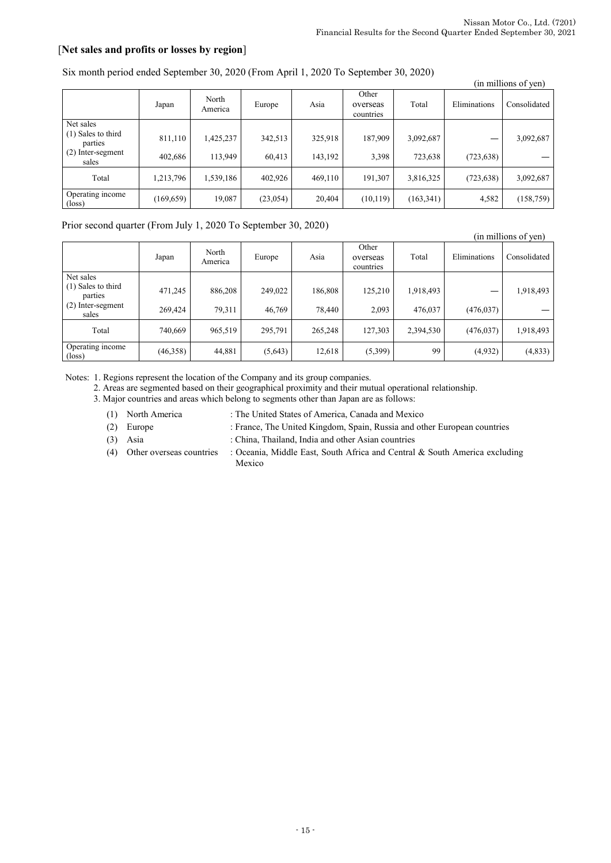# [**Net sales and profits or losses by region**]

|                                     |            |                  |           |         |                                |            |              | (in millions of yen) |
|-------------------------------------|------------|------------------|-----------|---------|--------------------------------|------------|--------------|----------------------|
|                                     | Japan      | North<br>America | Europe    | Asia    | Other<br>overseas<br>countries | Total      | Eliminations | Consolidated         |
| Net sales                           |            |                  |           |         |                                |            |              |                      |
| (1) Sales to third<br>parties       | 811,110    | 1,425,237        | 342,513   | 325,918 | 187,909                        | 3,092,687  |              | 3,092,687            |
| (2) Inter-segment<br>sales          | 402,686    | 113,949          | 60.413    | 143,192 | 3,398                          | 723,638    | (723, 638)   |                      |
| Total                               | 1,213,796  | 1,539,186        | 402,926   | 469,110 | 191,307                        | 3,816,325  | (723, 638)   | 3,092,687            |
| Operating income<br>$(\text{loss})$ | (169, 659) | 19,087           | (23, 054) | 20,404  | (10, 119)                      | (163, 341) | 4,582        | (158, 759)           |

Six month period ended September 30, 2020 (From April 1, 2020 To September 30, 2020)

## Prior second quarter (From July 1, 2020 To September 30, 2020)

|                                     | (in millions of yen) |                  |          |         |                                |           |              |              |
|-------------------------------------|----------------------|------------------|----------|---------|--------------------------------|-----------|--------------|--------------|
|                                     | Japan                | North<br>America | Europe   | Asia    | Other<br>overseas<br>countries | Total     | Eliminations | Consolidated |
| Net sales                           |                      |                  |          |         |                                |           |              |              |
| $(1)$ Sales to third<br>parties     | 471,245              | 886,208          | 249,022  | 186,808 | 125,210                        | 1,918,493 |              | 1,918,493    |
| (2)<br>Inter-segment<br>sales       | 269,424              | 79,311           | 46,769   | 78,440  | 2,093                          | 476,037   | (476, 037)   |              |
| Total                               | 740.669              | 965,519          | 295,791  | 265,248 | 127,303                        | 2,394,530 | (476, 037)   | 1,918,493    |
| Operating income<br>$(\text{loss})$ | (46,358)             | 44,881           | (5, 643) | 12,618  | (5,399)                        | 99        | (4,932)      | (4, 833)     |

Notes: 1. Regions represent the location of the Company and its group companies.

2. Areas are segmented based on their geographical proximity and their mutual operational relationship.

3. Major countries and areas which belong to segments other than Japan are as follows:

- (1) North America : The United States of America, Canada and Mexico
- (2) Europe : France, The United Kingdom, Spain, Russia and other European countries
- (3) Asia : China, Thailand, India and other Asian countries
- (4) Other overseas countries : Oceania, Middle East, South Africa and Central & South America excluding Mexico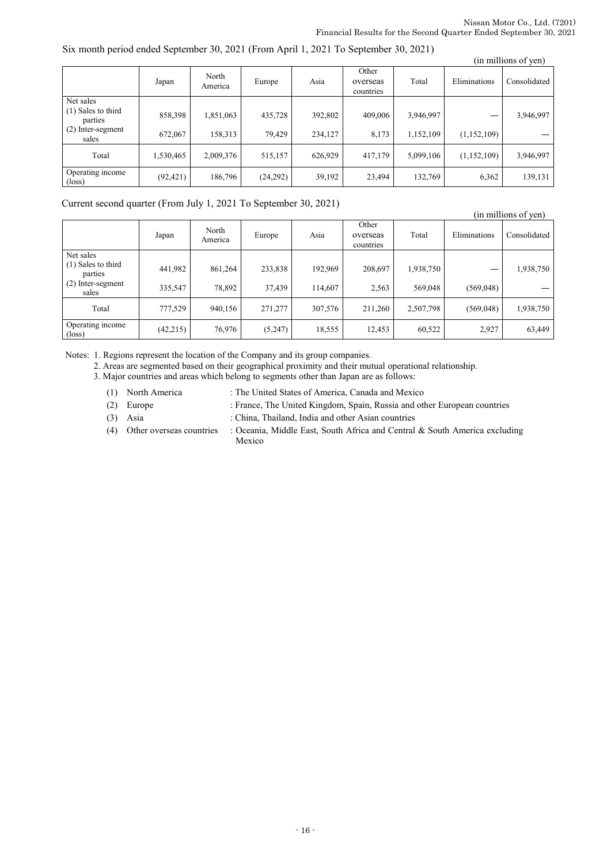#### Six month period ended September 30, 2021 (From April 1, 2021 To September 30, 2021)

|                                              |           |                  |          |         |                                |           |              | (in millions of yen) |
|----------------------------------------------|-----------|------------------|----------|---------|--------------------------------|-----------|--------------|----------------------|
|                                              | Japan     | North<br>America | Europe   | Asia    | Other<br>overseas<br>countries | Total     | Eliminations | Consolidated         |
| Net sales<br>$(1)$ Sales to third<br>parties | 858,398   | 1,851,063        | 435,728  | 392,802 | 409,006                        | 3,946,997 |              | 3,946,997            |
| (2) Inter-segment<br>sales                   | 672,067   | 158,313          | 79.429   | 234,127 | 8,173                          | 1,152,109 | (1,152,109)  |                      |
| Total                                        | 1,530,465 | 2,009,376        | 515,157  | 626,929 | 417,179                        | 5,099,106 | (1,152,109)  | 3,946,997            |
| Operating income<br>$(\text{loss})$          | (92, 421) | 186,796          | (24,292) | 39,192  | 23,494                         | 132,769   | 6,362        | 139,131              |

Current second quarter (From July 1, 2021 To September 30, 2021)

|                                     |           |                  |         |         |                                |           |              | (in millions of yen) |
|-------------------------------------|-----------|------------------|---------|---------|--------------------------------|-----------|--------------|----------------------|
|                                     | Japan     | North<br>America | Europe  | Asia    | Other<br>overseas<br>countries | Total     | Eliminations | Consolidated         |
| Net sales                           |           |                  |         |         |                                |           |              |                      |
| $(1)$ Sales to third<br>parties     | 441,982   | 861,264          | 233,838 | 192,969 | 208,697                        | 1,938,750 |              | 1,938,750            |
| (2) Inter-segment<br>sales          | 335,547   | 78,892           | 37,439  | 114,607 | 2,563                          | 569,048   | (569, 048)   |                      |
| Total                               | 777,529   | 940,156          | 271,277 | 307,576 | 211,260                        | 2,507,798 | (569, 048)   | 1,938,750            |
| Operating income<br>$(\text{loss})$ | (42, 215) | 76,976           | (5,247) | 18,555  | 12,453                         | 60,522    | 2,927        | 63,449               |

Notes: 1. Regions represent the location of the Company and its group companies.

2. Areas are segmented based on their geographical proximity and their mutual operational relationship.

3. Major countries and areas which belong to segments other than Japan are as follows:

- (1) North America : The United States of America, Canada and Mexico
- (2) Europe : France, The United Kingdom, Spain, Russia and other European countries
- 
- (3) Asia : China, Thailand, India and other Asian countries
- (4) Other overseas countries : Oceania, Middle East, South Africa and Central & South America excluding Mexico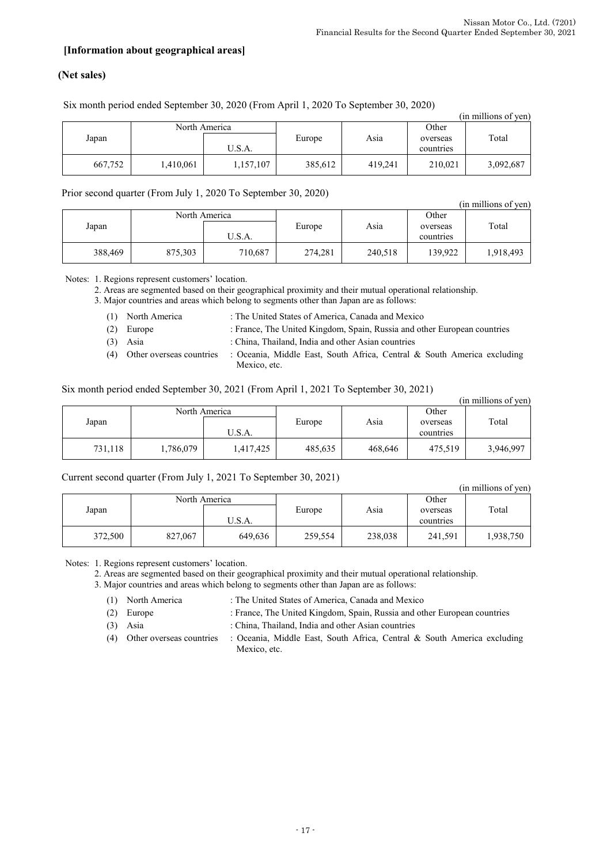# **[Information about geographical areas]**

## **(Net sales)**

Six month period ended September 30, 2020 (From April 1, 2020 To September 30, 2020)

(in millions of yen)

|         |          | North America |         |         | Other     |           |
|---------|----------|---------------|---------|---------|-----------|-----------|
| Japan   |          |               | Europe  | Asia    | overseas  | Total     |
|         |          | U.S.A.        |         |         | countries |           |
| 667,752 | ,410,061 | 1,157,107     | 385,612 | 419,241 | 210,021   | 3,092,687 |

Prior second quarter (From July 1, 2020 To September 30, 2020)

|         |         |               |         |         |                       | (in millions of yen) |  |
|---------|---------|---------------|---------|---------|-----------------------|----------------------|--|
|         |         | North America |         |         | Other                 |                      |  |
| Japan   |         | U.S.A.        | Europe  | Asia    | overseas<br>countries | Total                |  |
| 388,469 | 875,303 | 710,687       | 274,281 | 240,518 | 139,922               | 1,918,493            |  |

Notes: 1. Regions represent customers' location.

2. Areas are segmented based on their geographical proximity and their mutual operational relationship.

3. Major countries and areas which belong to segments other than Japan are as follows:

- (1) North America : The United States of America, Canada and Mexico
- (2) Europe : France, The United Kingdom, Spain, Russia and other European countries
- (3) Asia : China, Thailand, India and other Asian countries
- (4) Other overseas countries : Oceania, Middle East, South Africa, Central & South America excluding Mexico, etc.

Six month period ended September 30, 2021 (From April 1, 2021 To September 30, 2021)

(in millions of yen)

| Japan   | North America<br>U.S.A. |           | Europe  | Asıa    | Other<br>overseas<br>countries | Total     |
|---------|-------------------------|-----------|---------|---------|--------------------------------|-----------|
| 731,118 | 1,786,079               | 1,417,425 | 485,635 | 468.646 | 475,519                        | 3,946,997 |

#### Current second quarter (From July 1, 2021 To September 30, 2021)

|         |         |               |         |         |           | (in millions of yen) |
|---------|---------|---------------|---------|---------|-----------|----------------------|
|         |         | North America |         |         | Other     |                      |
| Japan   |         |               | Europe  | Asia    | overseas  | Total                |
|         |         | U.S.A.        |         |         | countries |                      |
| 372,500 | 827,067 | 649,636       | 259,554 | 238,038 | 241,591   | 1,938,750            |

Notes: 1. Regions represent customers' location.

2. Areas are segmented based on their geographical proximity and their mutual operational relationship.

3. Major countries and areas which belong to segments other than Japan are as follows:

(1) North America : The United States of America, Canada and Mexico

(2) Europe : France, The United Kingdom, Spain, Russia and other European countries

(3) Asia : China, Thailand, India and other Asian countries

(4) Other overseas countries : Oceania, Middle East, South Africa, Central & South America excluding Mexico, etc.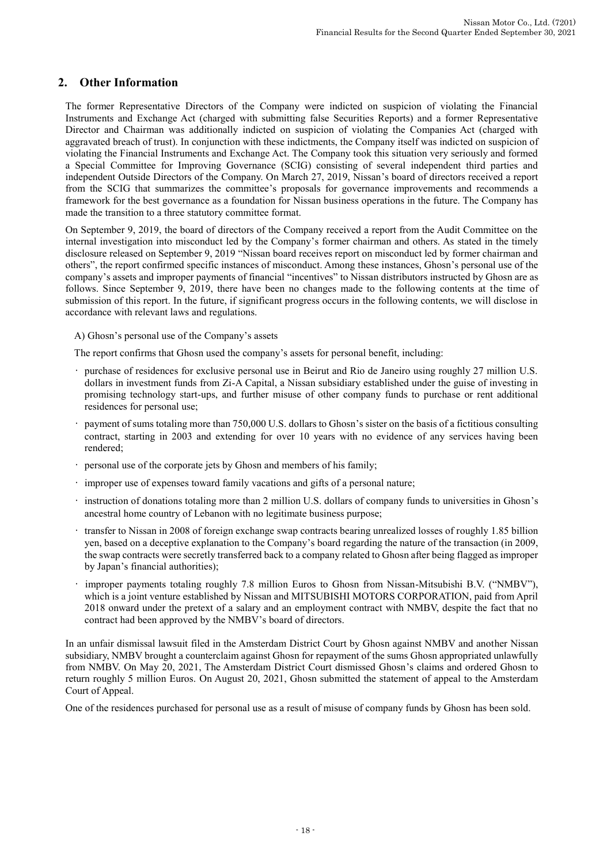# **2. Other Information**

The former Representative Directors of the Company were indicted on suspicion of violating the Financial Instruments and Exchange Act (charged with submitting false Securities Reports) and a former Representative Director and Chairman was additionally indicted on suspicion of violating the Companies Act (charged with aggravated breach of trust). In conjunction with these indictments, the Company itself was indicted on suspicion of violating the Financial Instruments and Exchange Act. The Company took this situation very seriously and formed a Special Committee for Improving Governance (SCIG) consisting of several independent third parties and independent Outside Directors of the Company. On March 27, 2019, Nissan's board of directors received a report from the SCIG that summarizes the committee's proposals for governance improvements and recommends a framework for the best governance as a foundation for Nissan business operations in the future. The Company has made the transition to a three statutory committee format.

On September 9, 2019, the board of directors of the Company received a report from the Audit Committee on the internal investigation into misconduct led by the Company's former chairman and others. As stated in the timely disclosure released on September 9, 2019 "Nissan board receives report on misconduct led by former chairman and others", the report confirmed specific instances of misconduct. Among these instances, Ghosn's personal use of the company's assets and improper payments of financial "incentives" to Nissan distributors instructed by Ghosn are as follows. Since September 9, 2019, there have been no changes made to the following contents at the time of submission of this report. In the future, if significant progress occurs in the following contents, we will disclose in accordance with relevant laws and regulations.

A) Ghosn's personal use of the Company's assets

The report confirms that Ghosn used the company's assets for personal benefit, including:

- purchase of residences for exclusive personal use in Beirut and Rio de Janeiro using roughly 27 million U.S. dollars in investment funds from Zi-A Capital, a Nissan subsidiary established under the guise of investing in promising technology start-ups, and further misuse of other company funds to purchase or rent additional residences for personal use;
- payment of sums totaling more than 750,000 U.S. dollars to Ghosn's sister on the basis of a fictitious consulting contract, starting in 2003 and extending for over 10 years with no evidence of any services having been rendered;
- personal use of the corporate jets by Ghosn and members of his family;
- improper use of expenses toward family vacations and gifts of a personal nature;
- instruction of donations totaling more than 2 million U.S. dollars of company funds to universities in Ghosn's ancestral home country of Lebanon with no legitimate business purpose;
- transfer to Nissan in 2008 of foreign exchange swap contracts bearing unrealized losses of roughly 1.85 billion yen, based on a deceptive explanation to the Company's board regarding the nature of the transaction (in 2009, the swap contracts were secretly transferred back to a company related to Ghosn after being flagged as improper by Japan's financial authorities);
- improper payments totaling roughly 7.8 million Euros to Ghosn from Nissan-Mitsubishi B.V. ("NMBV"), which is a joint venture established by Nissan and MITSUBISHI MOTORS CORPORATION, paid from April 2018 onward under the pretext of a salary and an employment contract with NMBV, despite the fact that no contract had been approved by the NMBV's board of directors.

In an unfair dismissal lawsuit filed in the Amsterdam District Court by Ghosn against NMBV and another Nissan subsidiary, NMBV brought a counterclaim against Ghosn for repayment of the sums Ghosn appropriated unlawfully from NMBV. On May 20, 2021, The Amsterdam District Court dismissed Ghosn's claims and ordered Ghosn to return roughly 5 million Euros. On August 20, 2021, Ghosn submitted the statement of appeal to the Amsterdam Court of Appeal.

One of the residences purchased for personal use as a result of misuse of company funds by Ghosn has been sold.